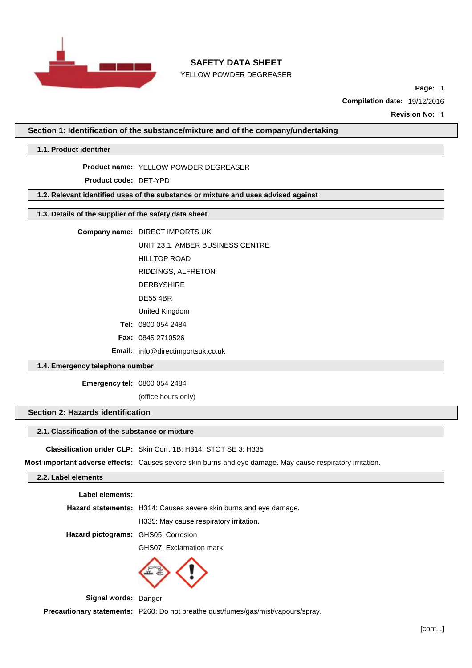

YELLOW POWDER DEGREASER

**Page:** 1

**Compilation date:** 19/12/2016

**Revision No:** 1

**Section 1: Identification of the substance/mixture and of the company/undertaking**

**1.1. Product identifier**

#### **Product name:** YELLOW POWDER DEGREASER

**Product code:** DET-YPD

**1.2. Relevant identified uses of the substance or mixture and uses advised against**

# **1.3. Details of the supplier of the safety data sheet**

**Company name:** DIRECT IMPORTS UK

UNIT 23.1, AMBER BUSINESS CENTRE

HILLTOP ROAD

RIDDINGS, ALFRETON

DERBYSHIRE

DE55 4BR

United Kingdom

**Tel:** 0800 054 2484

**Fax:** 0845 2710526

**Email:** [info@directimportsuk.co.uk](mailto:info@directimportsuk.co.uk)

### **1.4. Emergency telephone number**

**Emergency tel:** 0800 054 2484

(office hours only)

# **Section 2: Hazards identification**

## **2.1. Classification of the substance or mixture**

**Classification under CLP:** Skin Corr. 1B: H314; STOT SE 3: H335

**Most important adverse effects:** Causes severe skin burns and eye damage. May cause respiratory irritation.

#### **2.2. Label elements**

**Label elements:**

**Hazard statements:** H314: Causes severe skin burns and eye damage.

H335: May cause respiratory irritation.

**Hazard pictograms:** GHS05: Corrosion

GHS07: Exclamation mark



**Signal words:** Danger

**Precautionary statements:** P260: Do not breathe dust/fumes/gas/mist/vapours/spray.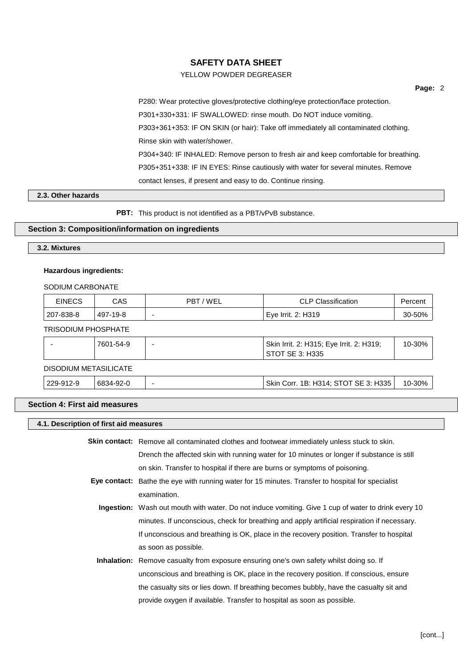# YELLOW POWDER DEGREASER

**Page:** 2

P280: Wear protective gloves/protective clothing/eye protection/face protection. P301+330+331: IF SWALLOWED: rinse mouth. Do NOT induce vomiting. P303+361+353: IF ON SKIN (or hair): Take off immediately all contaminated clothing. Rinse skin with water/shower. P304+340: IF INHALED: Remove person to fresh air and keep comfortable for breathing. P305+351+338: IF IN EYES: Rinse cautiously with water for several minutes. Remove contact lenses, if present and easy to do. Continue rinsing.

# **2.3. Other hazards**

**PBT:** This product is not identified as a PBT/vPvB substance.

### **Section 3: Composition/information on ingredients**

### **3.2. Mixtures**

#### **Hazardous ingredients:**

#### SODIUM CARBONATE

| <b>EINECS</b>              | CAS      | PBT/WEL | <b>CLP Classification</b> | Percent |
|----------------------------|----------|---------|---------------------------|---------|
| 207-838-8                  | 497-19-8 |         | Eye Irrit. 2: H319        | 30-50%  |
| <b>TRISODIUM PHOSPHATE</b> |          |         |                           |         |

|                              | 7601-54-9 |  | Skin Irrit. 2: H315; Eye Irrit. 2: H319;<br>STOT SE 3: H335 | 10-30% |
|------------------------------|-----------|--|-------------------------------------------------------------|--------|
| <b>DISODIUM METASILICATE</b> |           |  |                                                             |        |

| 229-912-9 | 6834-92-0 | Skin Corr. 1B: H314; STOT SE 3: H335 | 10-30% |
|-----------|-----------|--------------------------------------|--------|

## **Section 4: First aid measures**

# **4.1. Description of first aid measures**

| Skin contact: Remove all contaminated clothes and footwear immediately unless stuck to skin.               |
|------------------------------------------------------------------------------------------------------------|
| Drench the affected skin with running water for 10 minutes or longer if substance is still                 |
| on skin. Transfer to hospital if there are burns or symptoms of poisoning.                                 |
| Eye contact: Bathe the eye with running water for 15 minutes. Transfer to hospital for specialist          |
| examination.                                                                                               |
| <b>Ingestion:</b> Wash out mouth with water. Do not induce vomiting. Give 1 cup of water to drink every 10 |
| minutes. If unconscious, check for breathing and apply artificial respiration if necessary.                |
| If unconscious and breathing is OK, place in the recovery position. Transfer to hospital                   |
| as soon as possible.                                                                                       |
| <b>Inhalation:</b> Remove casualty from exposure ensuring one's own safety whilst doing so. If             |
| unconscious and breathing is OK, place in the recovery position. If conscious, ensure                      |
| the casualty sits or lies down. If breathing becomes bubbly, have the casualty sit and                     |

provide oxygen if available. Transfer to hospital as soon as possible.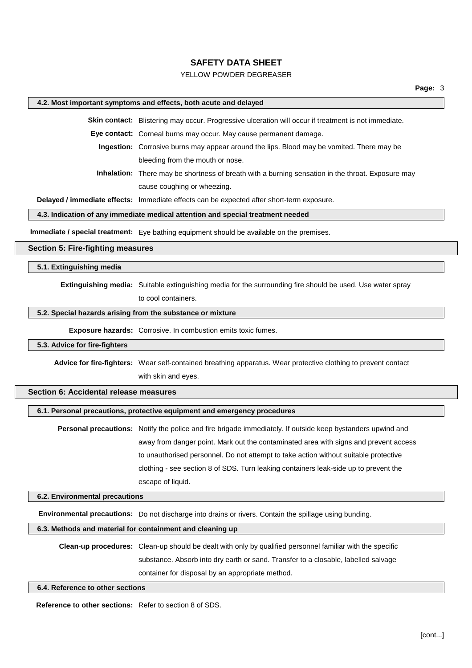## YELLOW POWDER DEGREASER

#### **4.2. Most important symptoms and effects, both acute and delayed**

**Skin contact:** Blistering may occur. Progressive ulceration will occur if treatment is not immediate.

**Eye contact:** Corneal burns may occur. May cause permanent damage.

**Ingestion:** Corrosive burns may appear around the lips. Blood may be vomited. There may be bleeding from the mouth or nose.

**Inhalation:** There may be shortness of breath with a burning sensation in the throat. Exposure may cause coughing or wheezing.

**Delayed / immediate effects:** Immediate effects can be expected after short-term exposure.

### **4.3. Indication of any immediate medical attention and special treatment needed**

**Immediate / special treatment:** Eye bathing equipment should be available on the premises.

### **Section 5: Fire-fighting measures**

### **5.1. Extinguishing media**

**Extinguishing media:** Suitable extinguishing media for the surrounding fire should be used. Use water spray

to cool containers.

### **5.2. Special hazards arising from the substance or mixture**

**Exposure hazards:** Corrosive. In combustion emits toxic fumes.

### **5.3. Advice for fire-fighters**

**Advice for fire-fighters:** Wear self-contained breathing apparatus. Wear protective clothing to prevent contact

with skin and eyes.

### **Section 6: Accidental release measures**

#### **6.1. Personal precautions, protective equipment and emergency procedures**

**Personal precautions:** Notify the police and fire brigade immediately. If outside keep bystanders upwind and away from danger point. Mark out the contaminated area with signs and prevent access to unauthorised personnel. Do not attempt to take action without suitable protective clothing - see section 8 of SDS. Turn leaking containers leak-side up to prevent the escape of liquid.

#### **6.2. Environmental precautions**

**Environmental precautions:** Do not discharge into drains or rivers. Contain the spillage using bunding.

# **6.3. Methods and material for containment and cleaning up**

**Clean-up procedures:** Clean-up should be dealt with only by qualified personnel familiar with the specific substance. Absorb into dry earth or sand. Transfer to a closable, labelled salvage container for disposal by an appropriate method.

#### **6.4. Reference to other sections**

**Reference to other sections:** Refer to section 8 of SDS.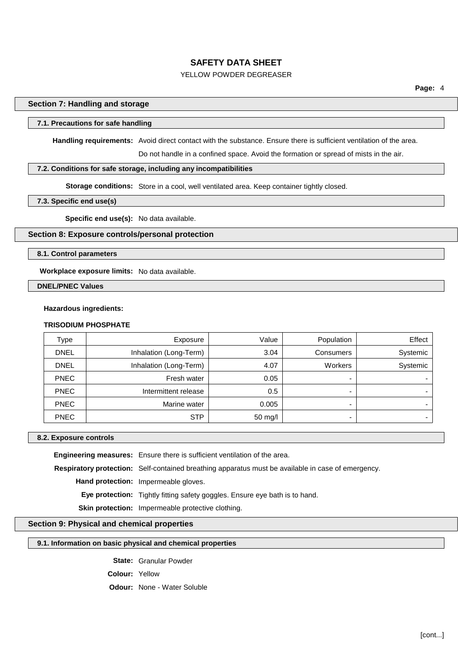# YELLOW POWDER DEGREASER

# **Section 7: Handling and storage**

# **7.1. Precautions for safe handling**

**Handling requirements:** Avoid direct contact with the substance. Ensure there is sufficient ventilation of the area.

Do not handle in a confined space. Avoid the formation or spread of mists in the air.

### **7.2. Conditions for safe storage, including any incompatibilities**

**Storage conditions:** Store in a cool, well ventilated area. Keep container tightly closed.

### **7.3. Specific end use(s)**

**Specific end use(s):** No data available.

# **Section 8: Exposure controls/personal protection**

**8.1. Control parameters**

**Workplace exposure limits:** No data available.

**DNEL/PNEC Values**

### **Hazardous ingredients:**

#### **TRISODIUM PHOSPHATE**

| Type        | Exposure               | Value   | Population | Effect   |
|-------------|------------------------|---------|------------|----------|
| <b>DNEL</b> | Inhalation (Long-Term) | 3.04    | Consumers  | Systemic |
| <b>DNEL</b> | Inhalation (Long-Term) | 4.07    | Workers    | Systemic |
| <b>PNEC</b> | Fresh water            | 0.05    | -          |          |
| <b>PNEC</b> | Intermittent release   | 0.5     | -          |          |
| <b>PNEC</b> | Marine water           | 0.005   |            |          |
| <b>PNEC</b> | <b>STP</b>             | 50 mg/l | -          |          |

#### **8.2. Exposure controls**

**Engineering measures:** Ensure there is sufficient ventilation of the area.

**Respiratory protection:** Self-contained breathing apparatus must be available in case of emergency.

**Hand protection:** Impermeable gloves.

**Eye protection:** Tightly fitting safety goggles. Ensure eye bath is to hand.

**Skin protection:** Impermeable protective clothing.

# **Section 9: Physical and chemical properties**

#### **9.1. Information on basic physical and chemical properties**

**State:** Granular Powder

**Colour:** Yellow

**Odour:** None - Water Soluble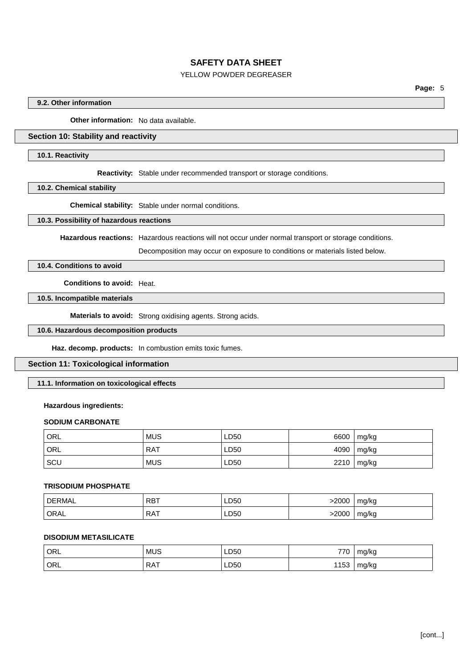# YELLOW POWDER DEGREASER

### **9.2. Other information**

**Other information:** No data available.

# **Section 10: Stability and reactivity**

#### **10.1. Reactivity**

**Reactivity:** Stable under recommended transport or storage conditions.

**10.2. Chemical stability**

**Chemical stability:** Stable under normal conditions.

#### **10.3. Possibility of hazardous reactions**

**Hazardous reactions:** Hazardous reactions will not occur under normal transport or storage conditions.

Decomposition may occur on exposure to conditions or materials listed below.

# **10.4. Conditions to avoid**

**Conditions to avoid:** Heat.

# **10.5. Incompatible materials**

**Materials to avoid:** Strong oxidising agents. Strong acids.

# **10.6. Hazardous decomposition products**

**Haz. decomp. products:** In combustion emits toxic fumes.

### **Section 11: Toxicological information**

### **11.1. Information on toxicological effects**

### **Hazardous ingredients:**

### **SODIUM CARBONATE**

| ' ORL      | <b>MUS</b> | LD50 | 6600 | $\lfloor$ mg/kg |
|------------|------------|------|------|-----------------|
| ' ORL      | RAT        | LD50 | 4090 | $\lfloor$ mg/kg |
| <b>SCU</b> | <b>MUS</b> | LD50 | 2210 | mg/kg           |

#### **TRISODIUM PHOSPHATE**

| <b>DERMAL</b> | <b>RBT</b> | LD50 | >2000 | mg/kg |
|---------------|------------|------|-------|-------|
| ' ORAL        | RAT        | LD50 | >2000 | mg/kg |

### **DISODIUM METASILICATE**

| ORL | <b>MUS</b> | LD50 | 770  | mg/kg |
|-----|------------|------|------|-------|
| ORL | <b>RAT</b> | LD50 | 1153 | mg/kg |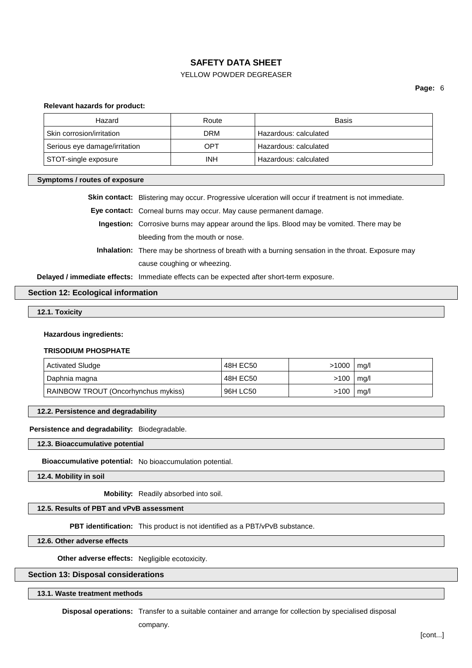# YELLOW POWDER DEGREASER

**Page:** 6

#### **Relevant hazards for product:**

| Hazard                        | Route      | Basis                        |
|-------------------------------|------------|------------------------------|
| Skin corrosion/irritation     | DRM        | Hazardous: calculated        |
| Serious eye damage/irritation | OPT        | <b>Hazardous: calculated</b> |
| STOT-single exposure          | <b>INH</b> | Hazardous: calculated        |

#### **Symptoms / routes of exposure**

**Skin contact:** Blistering may occur. Progressive ulceration will occur if treatment is not immediate.

**Eye contact:** Corneal burns may occur. May cause permanent damage.

**Ingestion:** Corrosive burns may appear around the lips. Blood may be vomited. There may be bleeding from the mouth or nose.

**Inhalation:** There may be shortness of breath with a burning sensation in the throat. Exposure may cause coughing or wheezing.

**Delayed / immediate effects:** Immediate effects can be expected after short-term exposure.

### **Section 12: Ecological information**

# **12.1. Toxicity**

**Hazardous ingredients:**

#### **TRISODIUM PHOSPHATE**

| <b>Activated Sludge</b>             | 48H EC50 | >1000 | mg/l   |
|-------------------------------------|----------|-------|--------|
| Daphnia magna                       | 48H EC50 | >100  | , mg/l |
| RAINBOW TROUT (Oncorhynchus mykiss) | 96H LC50 | >100  | mq/l   |

**12.2. Persistence and degradability**

#### **Persistence and degradability:** Biodegradable.

**12.3. Bioaccumulative potential**

**Bioaccumulative potential:** No bioaccumulation potential.

**12.4. Mobility in soil**

**Mobility:** Readily absorbed into soil.

# **12.5. Results of PBT and vPvB assessment**

**PBT identification:** This product is not identified as a PBT/vPvB substance.

**12.6. Other adverse effects**

**Other adverse effects:** Negligible ecotoxicity.

### **Section 13: Disposal considerations**

**13.1. Waste treatment methods**

**Disposal operations:** Transfer to a suitable container and arrange for collection by specialised disposal